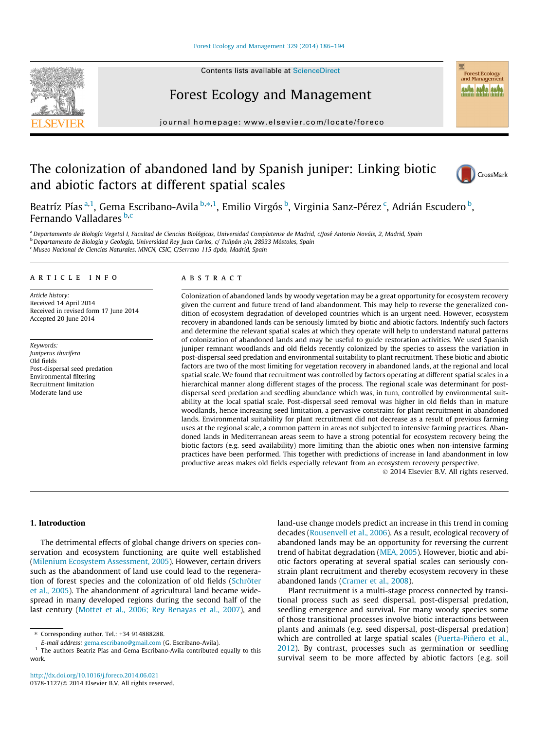

Contents lists available at [ScienceDirect](http://www.sciencedirect.com/science/journal/03781127)

# Forest Ecology and Management

journal homepage: [www.elsevier.com/locate/foreco](http://www.elsevier.com/locate/foreco)

# The colonization of abandoned land by Spanish juniper: Linking biotic and abiotic factors at different spatial scales



Forest Ecology and Managen

Beatríz Pías <sup>a,1</sup>, Gema Escribano-Avila <sup>b,</sup>\*,<sup>1</sup>, Emilio Virgós <sup>b</sup>, Virginia Sanz-Pérez <sup>c</sup>, Adrián Escudero <sup>b</sup>, Fernando Valladares b,c

<sup>a</sup> Departamento de Biología Vegetal I, Facultad de Ciencias Biológicas, Universidad Complutense de Madrid, c/José Antonio Nováis, 2, Madrid, Spain **b** Departamento de Biología y Geología, Universidad Rey Juan Carlos, c/ Tulipán s/n, 28933 Móstoles, Spain <sup>c</sup> Museo Nacional de Ciencias Naturales, MNCN, CSIC, C/Serrano 115 dpdo, Madrid, Spain

#### article info

Article history: Received 14 April 2014 Received in revised form 17 June 2014 Accepted 20 June 2014

Keywords: Juniperus thurifera Old fields Post-dispersal seed predation Environmental filtering Recruitment limitation Moderate land use

# **ABSTRACT**

Colonization of abandoned lands by woody vegetation may be a great opportunity for ecosystem recovery given the current and future trend of land abandonment. This may help to reverse the generalized condition of ecosystem degradation of developed countries which is an urgent need. However, ecosystem recovery in abandoned lands can be seriously limited by biotic and abiotic factors. Indentify such factors and determine the relevant spatial scales at which they operate will help to understand natural patterns of colonization of abandoned lands and may be useful to guide restoration activities. We used Spanish juniper remnant woodlands and old fields recently colonized by the species to assess the variation in post-dispersal seed predation and environmental suitability to plant recruitment. These biotic and abiotic factors are two of the most limiting for vegetation recovery in abandoned lands, at the regional and local spatial scale. We found that recruitment was controlled by factors operating at different spatial scales in a hierarchical manner along different stages of the process. The regional scale was determinant for postdispersal seed predation and seedling abundance which was, in turn, controlled by environmental suitability at the local spatial scale. Post-dispersal seed removal was higher in old fields than in mature woodlands, hence increasing seed limitation, a pervasive constraint for plant recruitment in abandoned lands. Environmental suitability for plant recruitment did not decrease as a result of previous farming uses at the regional scale, a common pattern in areas not subjected to intensive farming practices. Abandoned lands in Mediterranean areas seem to have a strong potential for ecosystem recovery being the biotic factors (e.g. seed availability) more limiting than the abiotic ones when non-intensive farming practices have been performed. This together with predictions of increase in land abandonment in low productive areas makes old fields especially relevant from an ecosystem recovery perspective.

- 2014 Elsevier B.V. All rights reserved.

# 1. Introduction

The detrimental effects of global change drivers on species conservation and ecosystem functioning are quite well established ([Milenium Ecosystem Assessment, 2005\)](#page-8-0). However, certain drivers such as the abandonment of land use could lead to the regeneration of forest species and the colonization of old fields [\(Schröter](#page-8-0) [et al., 2005\)](#page-8-0). The abandonment of agricultural land became widespread in many developed regions during the second half of the last century [\(Mottet et al., 2006; Rey Benayas et al., 2007](#page-8-0)), and land-use change models predict an increase in this trend in coming decades ([Rousenvell et al., 2006](#page-8-0)). As a result, ecological recovery of abandoned lands may be an opportunity for reversing the current trend of habitat degradation [\(MEA, 2005](#page-8-0)). However, biotic and abiotic factors operating at several spatial scales can seriously constrain plant recruitment and thereby ecosystem recovery in these abandoned lands ([Cramer et al., 2008](#page-8-0)).

Plant recruitment is a multi-stage process connected by transitional process such as seed dispersal, post-dispersal predation, seedling emergence and survival. For many woody species some of those transitional processes involve biotic interactions between plants and animals (e.g. seed dispersal, post-dispersal predation) which are controlled at large spatial scales ([Puerta-Piñero et al.,](#page-8-0) [2012\)](#page-8-0). By contrast, processes such as germination or seedling survival seem to be more affected by abiotic factors (e.g. soil

<sup>⇑</sup> Corresponding author. Tel.: +34 914888288.

E-mail address: [gema.escribano@gmail.com](mailto:gema.escribano@gmail.com) (G. Escribano-Avila).

<sup>&</sup>lt;sup>1</sup> The authors Beatriz Pías and Gema Escribano-Avila contributed equally to this work.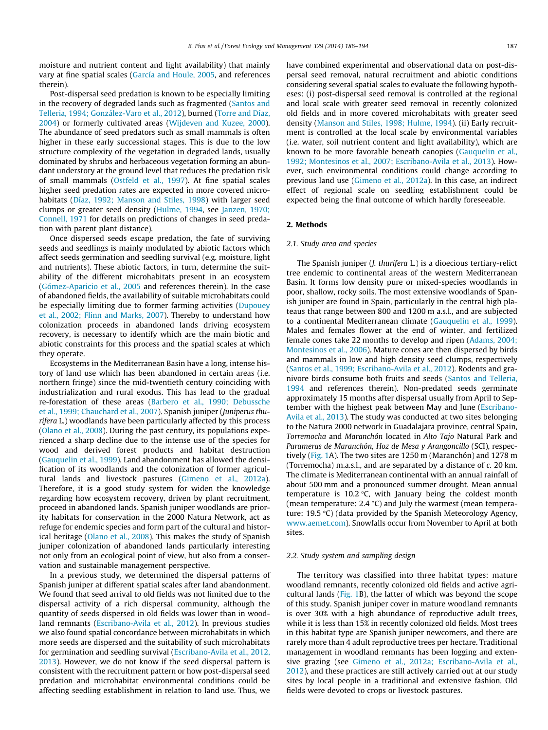moisture and nutrient content and light availability) that mainly vary at fine spatial scales [\(García and Houle, 2005](#page-8-0), and references therein).

Post-dispersal seed predation is known to be especially limiting in the recovery of degraded lands such as fragmented [\(Santos and](#page-8-0) [Telleria, 1994; González-Varo et al., 2012](#page-8-0)), burned ([Torre and Díaz,](#page-8-0) [2004](#page-8-0)) or formerly cultivated areas ([Wijdeven and Kuzee, 2000\)](#page-8-0). The abundance of seed predators such as small mammals is often higher in these early successional stages. This is due to the low structure complexity of the vegetation in degraded lands, usually dominated by shrubs and herbaceous vegetation forming an abundant understory at the ground level that reduces the predation risk of small mammals ([Ostfeld et al., 1997](#page-8-0)). At fine spatial scales higher seed predation rates are expected in more covered microhabitats ([Díaz, 1992; Manson and Stiles, 1998](#page-8-0)) with larger seed clumps or greater seed density [\(Hulme, 1994](#page-8-0), see [Janzen, 1970;](#page-8-0) [Connell, 1971](#page-8-0) for details on predictions of changes in seed predation with parent plant distance).

Once dispersed seeds escape predation, the fate of surviving seeds and seedlings is mainly modulated by abiotic factors which affect seeds germination and seedling survival (e.g. moisture, light and nutrients). These abiotic factors, in turn, determine the suitability of the different microhabitats present in an ecosystem ([Gómez-Aparicio et al., 2005](#page-8-0) and references therein). In the case of abandoned fields, the availability of suitable microhabitats could be especially limiting due to former farming activities ([Dupouey](#page-8-0) [et al., 2002; Flinn and Marks, 2007](#page-8-0)). Thereby to understand how colonization proceeds in abandoned lands driving ecosystem recovery, is necessary to identify which are the main biotic and abiotic constraints for this process and the spatial scales at which they operate.

Ecosystems in the Mediterranean Basin have a long, intense history of land use which has been abandoned in certain areas (i.e. northern fringe) since the mid-twentieth century coinciding with industrialization and rural exodus. This has lead to the gradual re-forestation of these areas [\(Barbero et al., 1990; Debussche](#page-7-0) [et al., 1999; Chauchard et al., 2007\)](#page-7-0). Spanish juniper (Juniperus thurifera L.) woodlands have been particularly affected by this process ([Olano et al., 2008\)](#page-8-0). During the past century, its populations experienced a sharp decline due to the intense use of the species for wood and derived forest products and habitat destruction ([Gauquelin et al., 1999](#page-8-0)). Land abandonment has allowed the densification of its woodlands and the colonization of former agricultural lands and livestock pastures [\(Gimeno et al., 2012a\)](#page-8-0). Therefore, it is a good study system for widen the knowledge regarding how ecosystem recovery, driven by plant recruitment, proceed in abandoned lands. Spanish juniper woodlands are priority habitats for conservation in the 2000 Natura Network, act as refuge for endemic species and form part of the cultural and historical heritage [\(Olano et al., 2008](#page-8-0)). This makes the study of Spanish juniper colonization of abandoned lands particularly interesting not only from an ecological point of view, but also from a conservation and sustainable management perspective.

In a previous study, we determined the dispersal patterns of Spanish juniper at different spatial scales after land abandonment. We found that seed arrival to old fields was not limited due to the dispersal activity of a rich dispersal community, although the quantity of seeds dispersed in old fields was lower than in woodland remnants [\(Escribano-Avila et al., 2012](#page-8-0)). In previous studies we also found spatial concordance between microhabitats in which more seeds are dispersed and the suitability of such microhabitats for germination and seedling survival [\(Escribano-Avila et al., 2012,](#page-8-0) [2013\)](#page-8-0). However, we do not know if the seed dispersal pattern is consistent with the recruitment pattern or how post-dispersal seed predation and microhabitat environmental conditions could be affecting seedling establishment in relation to land use. Thus, we

have combined experimental and observational data on post-dispersal seed removal, natural recruitment and abiotic conditions considering several spatial scales to evaluate the following hypotheses: (i) post-dispersal seed removal is controlled at the regional and local scale with greater seed removal in recently colonized old fields and in more covered microhabitats with greater seed density ([Manson and Stiles, 1998; Hulme, 1994\)](#page-8-0). (ii) Early recruitment is controlled at the local scale by environmental variables (i.e. water, soil nutrient content and light availability), which are known to be more favorable beneath canopies [\(Gauquelin et al.,](#page-8-0) [1992; Montesinos et al., 2007; Escribano-Avila et al., 2013\)](#page-8-0). However, such environmental conditions could change according to previous land use [\(Gimeno et al., 2012a\)](#page-8-0). In this case, an indirect effect of regional scale on seedling establishment could be expected being the final outcome of which hardly foreseeable.

#### 2. Methods

#### 2.1. Study area and species

The Spanish juniper (J. thurifera L.) is a dioecious tertiary-relict tree endemic to continental areas of the western Mediterranean Basin. It forms low density pure or mixed-species woodlands in poor, shallow, rocky soils. The most extensive woodlands of Spanish juniper are found in Spain, particularly in the central high plateaus that range between 800 and 1200 m a.s.l., and are subjected to a continental Mediterranean climate [\(Gauquelin et al., 1999\)](#page-8-0). Males and females flower at the end of winter, and fertilized female cones take 22 months to develop and ripen ([Adams, 2004;](#page-7-0) [Montesinos et al., 2006](#page-7-0)). Mature cones are then dispersed by birds and mammals in low and high density seed clumps, respectively ([Santos et al., 1999; Escribano-Avila et al., 2012\)](#page-8-0). Rodents and granivore birds consume both fruits and seeds [\(Santos and Telleria,](#page-8-0) [1994](#page-8-0) and references therein). Non-predated seeds germinate approximately 15 months after dispersal usually from April to September with the highest peak between May and June ([Escribano-](#page-8-0)[Avila et al., 2013](#page-8-0)). The study was conducted at two sites belonging to the Natura 2000 network in Guadalajara province, central Spain, Torremocha and Maranchón located in Alto Tajo Natural Park and Parameras de Maranchón, Hoz de Mesa y Arangoncillo (SCI), respectively ([Fig. 1A](#page-2-0)). The two sites are 1250 m (Maranchón) and 1278 m (Torremocha) m.a.s.l., and are separated by a distance of c. 20 km. The climate is Mediterranean continental with an annual rainfall of about 500 mm and a pronounced summer drought. Mean annual temperature is 10.2  $\degree$ C, with January being the coldest month (mean temperature: 2.4  $\degree$ C) and July the warmest (mean temperature: 19.5 °C) (data provided by the Spanish Meteorology Agency, [www.aemet.com\)](http://www.aemet.com). Snowfalls occur from November to April at both sites.

#### 2.2. Study system and sampling design

The territory was classified into three habitat types: mature woodland remnants, recently colonized old fields and active agricultural lands ([Fig. 1](#page-2-0)B), the latter of which was beyond the scope of this study. Spanish juniper cover in mature woodland remnants is over 30% with a high abundance of reproductive adult trees, while it is less than 15% in recently colonized old fields. Most trees in this habitat type are Spanish juniper newcomers, and there are rarely more than 4 adult reproductive trees per hectare. Traditional management in woodland remnants has been logging and extensive grazing (see [Gimeno et al., 2012a; Escribano-Avila et al.,](#page-8-0) [2012](#page-8-0)), and these practices are still actively carried out at our study sites by local people in a traditional and extensive fashion. Old fields were devoted to crops or livestock pastures.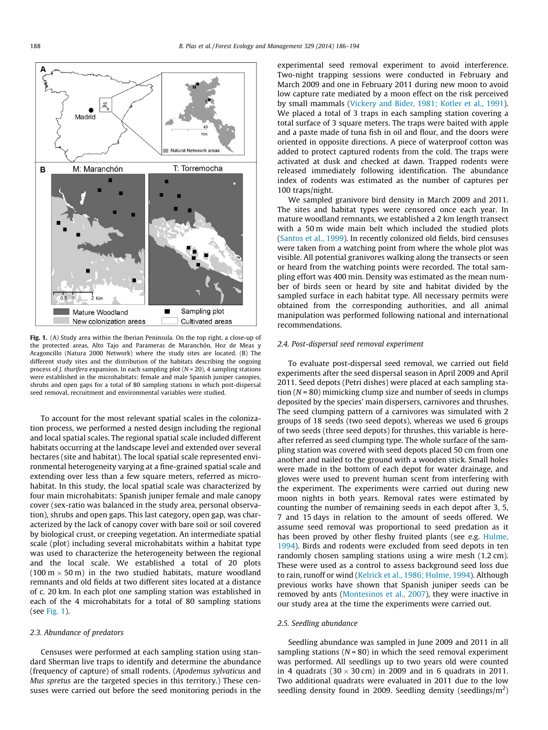<span id="page-2-0"></span>

Fig. 1. (A) Study area within the Iberian Peninsula. On the top right, a close-up of the protected areas, Alto Tajo and Parameras de Maranchón, Hoz de Meas y Aragoncillo (Natura 2000 Network) where the study sites are located. (B) The different study sites and the distribution of the habitats describing the ongoing process of *J. thurifera* expansion. In each sampling plot  $(N = 20)$ , 4 sampling stations were established in the microhabitats: female and male Spanish juniper canopies, shrubs and open gaps for a total of 80 sampling stations in which post-dispersal seed removal, recruitment and environmental variables were studied.

To account for the most relevant spatial scales in the colonization process, we performed a nested design including the regional and local spatial scales. The regional spatial scale included different habitats occurring at the landscape level and extended over several hectares (site and habitat). The local spatial scale represented environmental heterogeneity varying at a fine-grained spatial scale and extending over less than a few square meters, referred as microhabitat. In this study, the local spatial scale was characterized by four main microhabitats: Spanish juniper female and male canopy cover (sex-ratio was balanced in the study area, personal observation), shrubs and open gaps. This last category, open gap, was characterized by the lack of canopy cover with bare soil or soil covered by biological crust, or creeping vegetation. An intermediate spatial scale (plot) including several microhabitats within a habitat type was used to characterize the heterogeneity between the regional and the local scale. We established a total of 20 plots (100 m  $\times$  50 m) in the two studied habitats, mature woodland remnants and old fields at two different sites located at a distance of c. 20 km. In each plot one sampling station was established in each of the 4 microhabitats for a total of 80 sampling stations (see Fig. 1).

#### 2.3. Abundance of predators

Censuses were performed at each sampling station using standard Sherman live traps to identify and determine the abundance (frequency of capture) of small rodents. (Apodemus sylvaticus and Mus spretus are the targeted species in this territory.) These censuses were carried out before the seed monitoring periods in the experimental seed removal experiment to avoid interference. Two-night trapping sessions were conducted in February and March 2009 and one in February 2011 during new moon to avoid low capture rate mediated by a moon effect on the risk perceived by small mammals ([Vickery and Bider, 1981; Kotler et al., 1991\)](#page-8-0). We placed a total of 3 traps in each sampling station covering a total surface of 3 square meters. The traps were baited with apple and a paste made of tuna fish in oil and flour, and the doors were oriented in opposite directions. A piece of waterproof cotton was added to protect captured rodents from the cold. The traps were activated at dusk and checked at dawn. Trapped rodents were released immediately following identification. The abundance index of rodents was estimated as the number of captures per 100 traps/night.

We sampled granivore bird density in March 2009 and 2011. The sites and habitat types were censored once each year. In mature woodland remnants, we established a 2 km length transect with a 50 m wide main belt which included the studied plots ([Santos et al., 1999\)](#page-8-0). In recently colonized old fields, bird censuses were taken from a watching point from where the whole plot was visible. All potential granivores walking along the transects or seen or heard from the watching points were recorded. The total sampling effort was 400 min. Density was estimated as the mean number of birds seen or heard by site and habitat divided by the sampled surface in each habitat type. All necessary permits were obtained from the corresponding authorities, and all animal manipulation was performed following national and international recommendations.

### 2.4. Post-dispersal seed removal experiment

To evaluate post-dispersal seed removal, we carried out field experiments after the seed dispersal season in April 2009 and April 2011. Seed depots (Petri dishes) were placed at each sampling station  $(N = 80)$  mimicking clump size and number of seeds in clumps deposited by the species' main dispersers, carnivores and thrushes. The seed clumping pattern of a carnivores was simulated with 2 groups of 18 seeds (two seed depots), whereas we used 6 groups of two seeds (three seed depots) for thrushes, this variable is hereafter referred as seed clumping type. The whole surface of the sampling station was covered with seed depots placed 50 cm from one another and nailed to the ground with a wooden stick. Small holes were made in the bottom of each depot for water drainage, and gloves were used to prevent human scent from interfering with the experiment. The experiments were carried out during new moon nights in both years. Removal rates were estimated by counting the number of remaining seeds in each depot after 3, 5, 7 and 15 days in relation to the amount of seeds offered. We assume seed removal was proportional to seed predation as it has been proved by other fleshy fruited plants (see e.g. [Hulme,](#page-8-0) [1994\)](#page-8-0). Birds and rodents were excluded from seed depots in ten randomly chosen sampling stations using a wire mesh (1.2 cm). These were used as a control to assess background seed loss due to rain, runoff or wind [\(Kelrick et al., 1986; Hulme, 1994](#page-8-0)). Although previous works have shown that Spanish juniper seeds can be removed by ants ([Montesinos et al., 2007\)](#page-8-0), they were inactive in our study area at the time the experiments were carried out.

#### 2.5. Seedling abundance

Seedling abundance was sampled in June 2009 and 2011 in all sampling stations ( $N = 80$ ) in which the seed removal experiment was performed. All seedlings up to two years old were counted in 4 quadrats (30  $\times$  30 cm) in 2009 and in 6 quadrats in 2011. Two additional quadrats were evaluated in 2011 due to the low seedling density found in 2009. Seedling density (seedlings/ $m^2$ )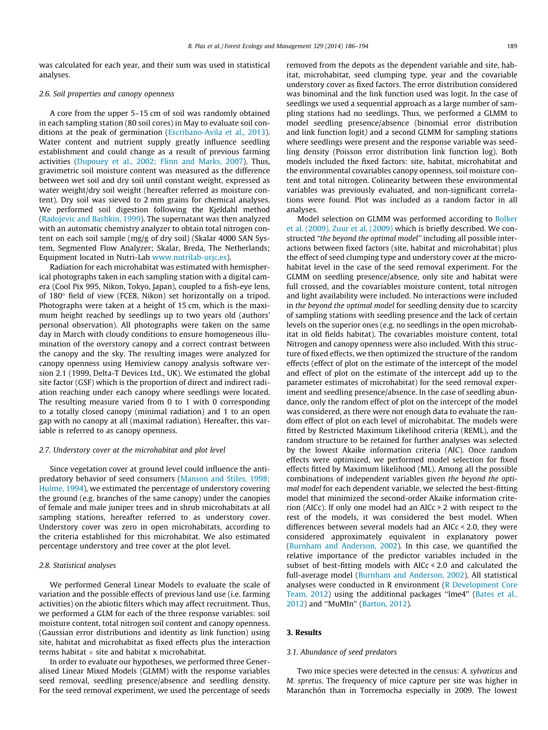<span id="page-3-0"></span>was calculated for each year, and their sum was used in statistical analyses.

#### 2.6. Soil properties and canopy openness

A core from the upper 5–15 cm of soil was randomly obtained in each sampling station (80 soil cores) in May to evaluate soil conditions at the peak of germination ([Escribano-Avila et al., 2013\)](#page-8-0). Water content and nutrient supply greatly influence seedling establishment and could change as a result of previous farming activities ([Dupouey et al., 2002; Flinn and Marks, 2007](#page-8-0)). Thus, gravimetric soil moisture content was measured as the difference between wet soil and dry soil until constant weight, expressed as water weight/dry soil weight (hereafter referred as moisture content). Dry soil was sieved to 2 mm grains for chemical analyses. We performed soil digestion following the Kjeldahl method ([Radojevic and Bashkin, 1999\)](#page-8-0). The supernatant was then analyzed with an automatic chemistry analyzer to obtain total nitrogen content on each soil sample (mg/g of dry soil) (Skalar 4000 SAN System, Segmented Flow Analyzer; Skalar, Breda, The Netherlands; Equipment located in Nutri-Lab [www.nutrilab-urjc.es\)](http://www.nutrilab-urjc.es).

Radiation for each microhabitat was estimated with hemispherical photographs taken in each sampling station with a digital camera (Cool Pix 995, Nikon, Tokyo, Japan), coupled to a fish-eye lens, of  $180^\circ$  field of view (FCE8, Nikon) set horizontally on a tripod. Photographs were taken at a height of 15 cm, which is the maximum height reached by seedlings up to two years old (authors' personal observation). All photographs were taken on the same day in March with cloudy conditions to ensure homogeneous illumination of the overstory canopy and a correct contrast between the canopy and the sky. The resulting images were analyzed for canopy openness using Hemiview canopy analysis software version 2.1 (1999, Delta-T Devices Ltd., UK). We estimated the global site factor (GSF) which is the proportion of direct and indirect radiation reaching under each canopy where seedlings were located. The resulting measure varied from 0 to 1 with 0 corresponding to a totally closed canopy (minimal radiation) and 1 to an open gap with no canopy at all (maximal radiation). Hereafter, this variable is referred to as canopy openness.

#### 2.7. Understory cover at the microhabitat and plot level

Since vegetation cover at ground level could influence the antipredatory behavior of seed consumers [\(Manson and Stiles, 1998;](#page-8-0) [Hulme, 1994\)](#page-8-0), we estimated the percentage of understory covering the ground (e.g. branches of the same canopy) under the canopies of female and male juniper trees and in shrub microhabitats at all sampling stations, hereafter referred to as understory cover. Understory cover was zero in open microhabitats, according to the criteria established for this microhabitat. We also estimated percentage understory and tree cover at the plot level.

#### 2.8. Statistical analyses

We performed General Linear Models to evaluate the scale of variation and the possible effects of previous land use (i.e. farming activities) on the abiotic filters which may affect recruitment. Thus, we performed a GLM for each of the three response variables: soil moisture content, total nitrogen soil content and canopy openness. (Gaussian error distributions and identity as link function) using site, habitat and microhabitat as fixed effects plus the interaction terms habitat  $\times$  site and habitat x microhabitat.

In order to evaluate our hypotheses, we performed three Generalised Linear Mixed Models (GLMM) with the response variables seed removal, seedling presence/absence and seedling density. For the seed removal experiment, we used the percentage of seeds removed from the depots as the dependent variable and site, habitat, microhabitat, seed clumping type, year and the covariable understory cover as fixed factors. The error distribution considered was binominal and the link function used was logit. In the case of seedlings we used a sequential approach as a large number of sampling stations had no seedlings. Thus, we performed a GLMM to model seedling presence/absence (binomial error distribution and link function logit) and a second GLMM for sampling stations where seedlings were present and the response variable was seedling density (Poisson error distribution link function log). Both models included the fixed factors: site, habitat, microhabitat and the environmental covariables canopy openness, soil moisture content and total nitrogen. Colinearity between these environmental variables was previously evaluated, and non-significant correlations were found. Plot was included as a random factor in all analyses.

Model selection on GLMM was performed according to [Bolker](#page-7-0) [et al. \(2009\), Zuur et al. \(2009\)](#page-7-0) which is briefly described. We constructed ''the beyond the optimal model'' including all possible interactions between fixed factors (site, habitat and microhabitat) plus the effect of seed clumping type and understory cover at the microhabitat level in the case of the seed removal experiment. For the GLMM on seedling presence/absence, only site and habitat were full crossed, and the covariables moisture content, total nitrogen and light availability were included. No interactions were included in the beyond the optimal model for seedling density due to scarcity of sampling stations with seedling presence and the lack of certain levels on the superior ones (e.g. no seedlings in the open microhabitat in old fields habitat). The covariables moisture content, total Nitrogen and canopy openness were also included. With this structure of fixed effects, we then optimized the structure of the random effects (effect of plot on the estimate of the intercept of the model and effect of plot on the estimate of the intercept add up to the parameter estimates of microhabitat) for the seed removal experiment and seedling presence/absence. In the case of seedling abundance, only the random effect of plot on the intercept of the model was considered, as there were not enough data to evaluate the random effect of plot on each level of microhabitat. The models were fitted by Restricted Maximum Likelihood criteria (REML), and the random structure to be retained for further analyses was selected by the lowest Akaike information criteria (AIC). Once random effects were optimized, we performed model selection for fixed effects fitted by Maximum likelihood (ML). Among all the possible combinations of independent variables given the beyond the optimal model for each dependent variable, we selected the best-fitting model that minimized the second-order Akaike information criterion (AICc). If only one model had an AICc > 2 with respect to the rest of the models, it was considered the best model. When differences between several models had an AICc < 2.0, they were considered approximately equivalent in explanatory power ([Burnham and Anderson, 2002](#page-7-0)). In this case, we quantified the relative importance of the predictor variables included in the subset of best-fitting models with AICc < 2.0 and calculated the full-average model ([Burnham and Anderson, 2002\)](#page-7-0). All statistical analyses were conducted in R environment ([R Development Core](#page-8-0) [Team, 2012\)](#page-8-0) using the additional packages "lme4" [\(Bates et al.,](#page-7-0) [2012](#page-7-0)) and ''MuMIn'' ([Barton, 2012\)](#page-7-0).

### 3. Results

#### 3.1. Abundance of seed predators

Two mice species were detected in the census: A. sylvaticus and M. spretus. The frequency of mice capture per site was higher in Maranchón than in Torremocha especially in 2009. The lowest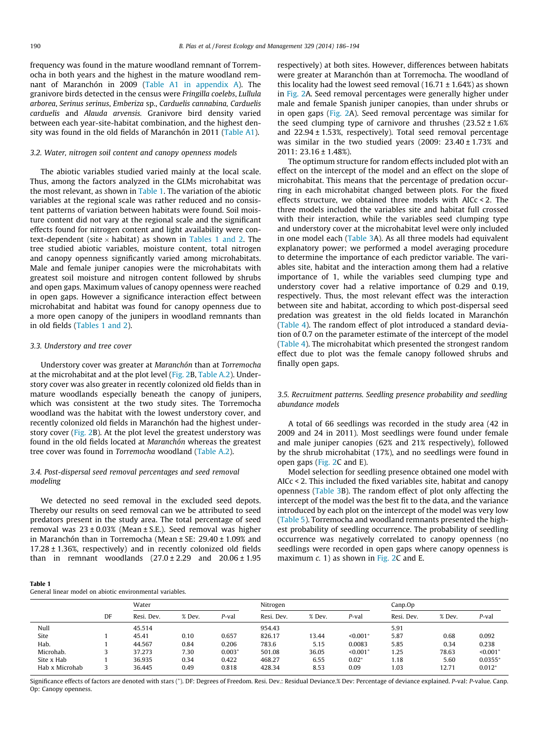frequency was found in the mature woodland remnant of Torremocha in both years and the highest in the mature woodland remnant of Maranchón in 2009 (Table A1 in appendix A). The granivore birds detected in the census were Fringilla coelebs, Lullula arborea, Serinus serinus, Emberiza sp., Carduelis cannabina, Carduelis carduelis and Alauda arvensis. Granivore bird density varied between each year-site-habitat combination, and the highest density was found in the old fields of Maranchón in 2011 (Table A1).

# 3.2. Water, nitrogen soil content and canopy openness models

The abiotic variables studied varied mainly at the local scale. Thus, among the factors analyzed in the GLMs microhabitat was the most relevant, as shown in Table 1. The variation of the abiotic variables at the regional scale was rather reduced and no consistent patterns of variation between habitats were found. Soil moisture content did not vary at the regional scale and the significant effects found for nitrogen content and light availability were context-dependent (site  $\times$  habitat) as shown in Tables 1 and 2. The tree studied abiotic variables, moisture content, total nitrogen and canopy openness significantly varied among microhabitats. Male and female juniper canopies were the microhabitats with greatest soil moisture and nitrogen content followed by shrubs and open gaps. Maximum values of canopy openness were reached in open gaps. However a significance interaction effect between microhabitat and habitat was found for canopy openness due to a more open canopy of the junipers in woodland remnants than in old fields (Tables 1 and 2).

# 3.3. Understory and tree cover

Understory cover was greater at Maranchón than at Torremocha at the microhabitat and at the plot level [\(Fig. 2B](#page-5-0), Table A.2). Understory cover was also greater in recently colonized old fields than in mature woodlands especially beneath the canopy of junipers, which was consistent at the two study sites. The Torremocha woodland was the habitat with the lowest understory cover, and recently colonized old fields in Maranchón had the highest understory cover ([Fig. 2B](#page-5-0)). At the plot level the greatest understory was found in the old fields located at Maranchón whereas the greatest tree cover was found in Torremocha woodland (Table A.2).

# 3.4. Post-dispersal seed removal percentages and seed removal modeling

We detected no seed removal in the excluded seed depots. Thereby our results on seed removal can we be attributed to seed predators present in the study area. The total percentage of seed removal was  $23 \pm 0.03$ % (Mean  $\pm$  S.E.). Seed removal was higher in Maranchón than in Torremocha (Mean ± SE: 29.40 ± 1.09% and 17.28 ± 1.36%, respectively) and in recently colonized old fields than in remnant woodlands  $(27.0 \pm 2.29$  and  $20.06 \pm 1.95$  respectively) at both sites. However, differences between habitats were greater at Maranchón than at Torremocha. The woodland of this locality had the lowest seed removal  $(16.71 \pm 1.64\%)$  as shown in [Fig. 2](#page-5-0)A. Seed removal percentages were generally higher under male and female Spanish juniper canopies, than under shrubs or in open gaps [\(Fig. 2A](#page-5-0)). Seed removal percentage was similar for the seed clumping type of carnivore and thrushes  $(23.52 \pm 1.6\%)$ and  $22.94 \pm 1.53$ %, respectively). Total seed removal percentage was similar in the two studied years (2009: 23.40 ± 1.73% and 2011: 23.16 ± 1.48%).

The optimum structure for random effects included plot with an effect on the intercept of the model and an effect on the slope of microhabitat. This means that the percentage of predation occurring in each microhabitat changed between plots. For the fixed effects structure, we obtained three models with AICc < 2. The three models included the variables site and habitat full crossed with their interaction, while the variables seed clumping type and understory cover at the microhabitat level were only included in one model each [\(Table 3](#page-6-0)A). As all three models had equivalent explanatory power; we performed a model averaging procedure to determine the importance of each predictor variable. The variables site, habitat and the interaction among them had a relative importance of 1, while the variables seed clumping type and understory cover had a relative importance of 0.29 and 0.19, respectively. Thus, the most relevant effect was the interaction between site and habitat, according to which post-dispersal seed predation was greatest in the old fields located in Maranchón ([Table 4\)](#page-6-0). The random effect of plot introduced a standard deviation of 0.7 on the parameter estimate of the intercept of the model ([Table 4](#page-6-0)). The microhabitat which presented the strongest random effect due to plot was the female canopy followed shrubs and finally open gaps.

3.5. Recruitment patterns. Seedling presence probability and seedling abundance models

A total of 66 seedlings was recorded in the study area (42 in 2009 and 24 in 2011). Most seedlings were found under female and male juniper canopies (62% and 21% respectively), followed by the shrub microhabitat (17%), and no seedlings were found in open gaps ([Fig. 2](#page-5-0)C and E).

Model selection for seedling presence obtained one model with AICc < 2. This included the fixed variables site, habitat and canopy openness ([Table 3B](#page-6-0)). The random effect of plot only affecting the intercept of the model was the best fit to the data, and the variance introduced by each plot on the intercept of the model was very low ([Table 5\)](#page-6-0). Torremocha and woodland remnants presented the highest probability of seedling occurrence. The probability of seedling occurrence was negatively correlated to canopy openness (no seedlings were recorded in open gaps where canopy openness is maximum  $c$ . 1) as shown in [Fig. 2C](#page-5-0) and E.

|--|--|

General linear model on abiotic environmental variables.

|                | DF | Water      |        |          | Nitrogen   |        |                        | Canp.Op    |        |            |
|----------------|----|------------|--------|----------|------------|--------|------------------------|------------|--------|------------|
|                |    | Resi. Dev. | % Dev. | P-val    | Resi. Dev. | % Dev. | P-val                  | Resi. Dev. | % Dev. | P-val      |
| Null           |    | 45.514     |        |          | 954.43     |        |                        | 5.91       |        |            |
| Site           |    | 45.41      | 0.10   | 0.657    | 826.17     | 13.44  | $< 0.001$ <sup>*</sup> | 5.87       | 0.68   | 0.092      |
| Hab.           |    | 44.567     | 0.84   | 0.206    | 783.6      | 5.15   | 0.0083                 | 5.85       | 0.34   | 0.238      |
| Microhab.      |    | 37.273     | 7.30   | $0.003*$ | 501.08     | 36.05  | $< 0.001*$             | 1.25       | 78.63  | $< 0.001*$ |
| Site x Hab     |    | 36.935     | 0.34   | 0.422    | 468.27     | 6.55   | $0.02*$                | 1.18       | 5.60   | $0.0355*$  |
| Hab x Microhab |    | 36.445     | 0.49   | 0.818    | 428.34     | 8.53   | 0.09                   | 1.03       | 12.71  | $0.012*$   |

Significance effects of factors are denoted with stars (<sup>⁄</sup> ). DF: Degrees of Freedom. Resi. Dev.: Residual Deviance.% Dev: Percentage of deviance explained. P-val: P-value. Canp. Op: Canopy openness.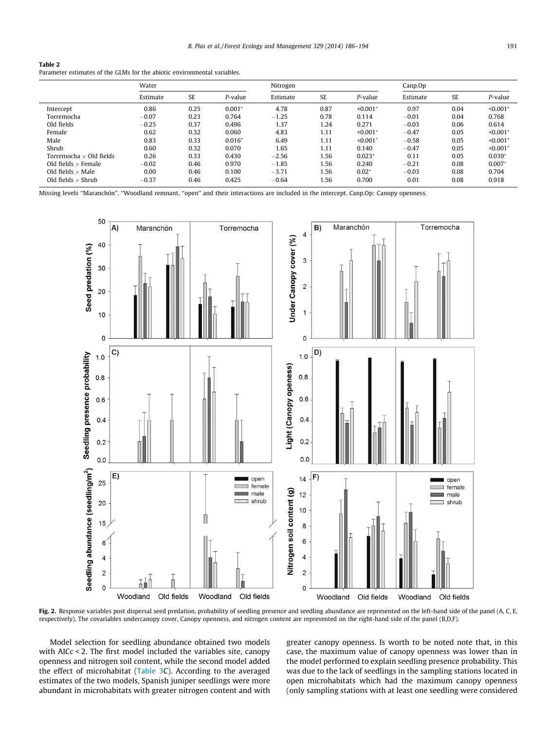<span id="page-5-0"></span>

| Table 2                                                                  |
|--------------------------------------------------------------------------|
| Parameter estimates of the GLMs for the abiotic environmental variables. |

|                                | Water    |           |          | Nitrogen |      |                           | Canp.Op  |           |                        |
|--------------------------------|----------|-----------|----------|----------|------|---------------------------|----------|-----------|------------------------|
|                                | Estimate | <b>SE</b> | P-value  | Estimate | SE   | P-value                   | Estimate | <b>SE</b> | P-value                |
| Intercept                      | 0.86     | 0.25      | $0.001*$ | 4.78     | 0.87 | $< 0.001*$                | 0.97     | 0.04      | $< 0.001*$             |
| Torremocha                     | $-0.07$  | 0.23      | 0.764    | $-1.25$  | 0.78 | 0.114                     | $-0.01$  | 0.04      | 0.768                  |
| Old fields                     | $-0.25$  | 0.37      | 0.496    | 1.37     | 1.24 | 0.271                     | $-0.03$  | 0.06      | 0.614                  |
| Female                         | 0.62     | 0.32      | 0.060    | 4.83     | 1.11 | $\leq 0.001$ <sup>*</sup> | $-0.47$  | 0.05      | $< 0.001$ <sup>*</sup> |
| Male                           | 0.83     | 0.33      | $0.016*$ | 6.49     | 1.11 | $< 0.001*$                | $-0.58$  | 0.05      | $< 0.001$ <sup>*</sup> |
| Shrub                          | 0.60     | 0.32      | 0.070    | 1.65     | 1.11 | 0.140                     | $-0.47$  | 0.05      | $< 0.001$ <sup>*</sup> |
| Torremocha $\times$ Old fields | 0.26     | 0.33      | 0.430    | $-2.56$  | 1.56 | $0.023*$                  | 0.11     | 0.05      | $0.039*$               |
| Old fields $\times$ Female     | $-0.02$  | 0.46      | 0.970    | $-1.85$  | 1.56 | 0.240                     | $-0.21$  | 0.08      | $0.007*$               |
| Old fields $\times$ Male       | 0.00     | 0.46      | 0.100    | $-3.71$  | 1.56 | $0.02*$                   | $-0.03$  | 0.08      | 0.704                  |
| Old fields $\times$ Shrub      | $-0.37$  | 0.46      | 0.425    | $-0.64$  | 1.56 | 0.700                     | 0.01     | 0.08      | 0.918                  |

Missing levels ''Maranchón'', ''Woodland remnant, ''open'' and their interactions are included in the intercept. Canp.Op: Canopy openness.



Fig. 2. Response variables post dispersal seed predation, probability of seedling presence and seedling abundance are represented on the left-hand side of the panel (A, C, E, respectively). The covariables undercanopy cover, Canopy openness, and nitrogen content are represented on the right-hand side of the panel (B,D,F).

Model selection for seedling abundance obtained two models with AICc < 2. The first model included the variables site, canopy openness and nitrogen soil content, while the second model added the effect of microhabitat [\(Table 3C](#page-6-0)). According to the averaged estimates of the two models, Spanish juniper seedlings were more abundant in microhabitats with greater nitrogen content and with greater canopy openness. Is worth to be noted note that, in this case, the maximum value of canopy openness was lower than in the model performed to explain seedling presence probability. This was due to the lack of seedlings in the sampling stations located in open microhabitats which had the maximum canopy openness (only sampling stations with at least one seedling were considered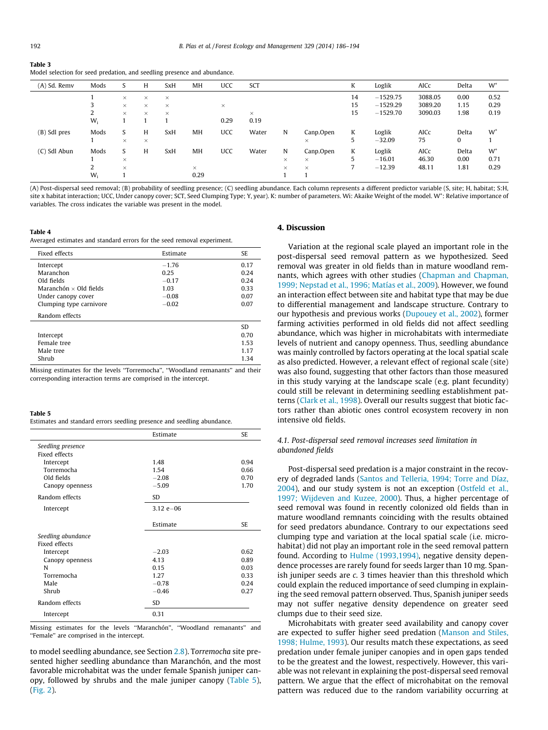#### <span id="page-6-0"></span>Table 3 Model selection for seed predation, and seedling presence and abundance.

| (A) Sd. Remv | Mods  |          | H        | <b>SxH</b> | MH        | <b>UCC</b> | SCT      |          |           | K  | Loglik     | AICc    | Delta | $W^+$ |
|--------------|-------|----------|----------|------------|-----------|------------|----------|----------|-----------|----|------------|---------|-------|-------|
|              |       | $\times$ | $\times$ | $\times$   |           |            |          |          |           | 14 | $-1529.75$ | 3088.05 | 0.00  | 0.52  |
|              |       | $\times$ | $\times$ | $\times$   |           | $\times$   |          |          |           | 15 | $-1529.29$ | 3089.20 | 1.15  | 0.29  |
|              |       | $\times$ | $\times$ | $\times$   |           |            | $\times$ |          |           | 15 | $-1529.70$ | 3090.03 | 1.98  | 0.19  |
|              | $W_i$ |          |          |            |           | 0.29       | 0.19     |          |           |    |            |         |       |       |
| (B) Sdl pres | Mods  | S        | H        | <b>SxH</b> | MH        | <b>UCC</b> | Water    | N        | Canp.Open | K  | Loglik     | AICc    | Delta | $W^*$ |
|              |       | $\times$ | $\times$ |            |           |            |          |          | $\times$  | 5  | $-32.09$   | 75      | 0     |       |
| (C) Sdl Abun | Mods  | S        | H        | <b>SxH</b> | <b>MH</b> | <b>UCC</b> | Water    | N        | Canp.Open | K  | Loglik     | AICc    | Delta | $W^*$ |
|              |       | $\times$ |          |            |           |            |          | $\times$ | $\times$  | 5  | $-16.01$   | 46.30   | 0.00  | 0.71  |
|              | 2     | $\times$ |          |            | $\times$  |            |          | $\times$ | $\times$  | ⇁  | $-12.39$   | 48.11   | 1.81  | 0.29  |
|              | $W_i$ |          |          |            | 0.29      |            |          |          |           |    |            |         |       |       |

(A) Post-dispersal seed removal; (B) probability of seedling presence; (C) seedling abundance. Each column represents a different predictor variable (S, site; H, habitat; S:H, site x habitat interaction; UCC, Under canopy cover; SCT, Seed Clumping Type; Y, year). K: number of parameters. Wi: Akaike Weight of the model. W+ : Relative importance of variables. The cross indicates the variable was present in the model.

#### Table 4

Averaged estimates and standard errors for the seed removal experiment.

| Fixed effects                 | Estimate | <b>SE</b> |
|-------------------------------|----------|-----------|
| Intercept                     | $-1.76$  | 0.17      |
| Maranchon                     | 0.25     | 0.24      |
| Old fields                    | $-0.17$  | 0.24      |
| Maranchón $\times$ Old fields | 1.03     | 0.33      |
| Under canopy cover            | $-0.08$  | 0.07      |
| Clumping type carnivore       | $-0.02$  | 0.07      |
| Random effects                |          |           |
|                               |          | SD.       |
| Intercept                     |          | 0.70      |
| Female tree                   |          | 1.53      |
| Male tree                     |          | 1.17      |
| Shrub                         |          | 1.34      |

Missing estimates for the levels ''Torremocha'', ''Woodland remanants'' and their corresponding interaction terms are comprised in the intercept.

| Table 5                                                                 |
|-------------------------------------------------------------------------|
| Estimates and standard errors seedling presence and seedling abundance. |

|                    | Estimate      | <b>SE</b> |
|--------------------|---------------|-----------|
| Seedling presence  |               |           |
| Fixed effects      |               |           |
| Intercept          | 1.48          | 0.94      |
| Torremocha         | 1.54          | 0.66      |
| Old fields         | $-2.08$       | 0.70      |
| Canopy openness    | $-5.09$       | 1.70      |
| Random effects     | SD            |           |
| Intercept          | $3.12 e - 06$ |           |
|                    |               |           |
|                    | Estimate      | SE.       |
| Seedling abundance |               |           |
| Fixed effects      |               |           |
| Intercept          | $-2.03$       | 0.62      |
| Canopy openness    | 413           | 0.89      |
| N                  | 0.15          | 0.03      |
| Torremocha         | 1.27          | 0.33      |
| Male               | $-0.78$       | 0.24      |
| Shrub              | $-0.46$       | 0.27      |
| Random effects     | <b>SD</b>     |           |
| Intercept          | 0.31          |           |

Missing estimates for the levels ''Maranchón'', ''Woodland remanants'' and ''Female'' are comprised in the intercept.

to model seedling abundance, see Section [2.8\)](#page-3-0). Torremocha site presented higher seedling abundance than Maranchón, and the most favorable microhabitat was the under female Spanish juniper canopy, followed by shrubs and the male juniper canopy (Table 5), ([Fig. 2](#page-5-0)).

# 4. Discussion

Variation at the regional scale played an important role in the post-dispersal seed removal pattern as we hypothesized. Seed removal was greater in old fields than in mature woodland remnants, which agrees with other studies ([Chapman and Chapman,](#page-8-0) [1999; Nepstad et al., 1996; Matías et al., 2009\)](#page-8-0). However, we found an interaction effect between site and habitat type that may be due to differential management and landscape structure. Contrary to our hypothesis and previous works [\(Dupouey et al., 2002\)](#page-8-0), former farming activities performed in old fields did not affect seedling abundance, which was higher in microhabitats with intermediate levels of nutrient and canopy openness. Thus, seedling abundance was mainly controlled by factors operating at the local spatial scale as also predicted. However, a relevant effect of regional scale (site) was also found, suggesting that other factors than those measured in this study varying at the landscape scale (e.g. plant fecundity) could still be relevant in determining seedling establishment patterns [\(Clark et al., 1998\)](#page-8-0). Overall our results suggest that biotic factors rather than abiotic ones control ecosystem recovery in non intensive old fields.

# 4.1. Post-dispersal seed removal increases seed limitation in abandoned fields

Post-dispersal seed predation is a major constraint in the recovery of degraded lands [\(Santos and Telleria, 1994; Torre and Díaz,](#page-8-0) [2004\)](#page-8-0), and our study system is not an exception ([Ostfeld et al.,](#page-8-0) [1997; Wijdeven and Kuzee, 2000\)](#page-8-0). Thus, a higher percentage of seed removal was found in recently colonized old fields than in mature woodland remnants coinciding with the results obtained for seed predators abundance. Contrary to our expectations seed clumping type and variation at the local spatial scale (i.e. microhabitat) did not play an important role in the seed removal pattern found. According to [Hulme \(1993,1994\)](#page-8-0), negative density dependence processes are rarely found for seeds larger than 10 mg. Spanish juniper seeds are c. 3 times heavier than this threshold which could explain the reduced importance of seed clumping in explaining the seed removal pattern observed. Thus, Spanish juniper seeds may not suffer negative density dependence on greater seed clumps due to their seed size.

Microhabitats with greater seed availability and canopy cover are expected to suffer higher seed predation [\(Manson and Stiles,](#page-8-0) [1998; Hulme, 1993](#page-8-0)). Our results match these expectations, as seed predation under female juniper canopies and in open gaps tended to be the greatest and the lowest, respectively. However, this variable was not relevant in explaining the post-dispersal seed removal pattern. We argue that the effect of microhabitat on the removal pattern was reduced due to the random variability occurring at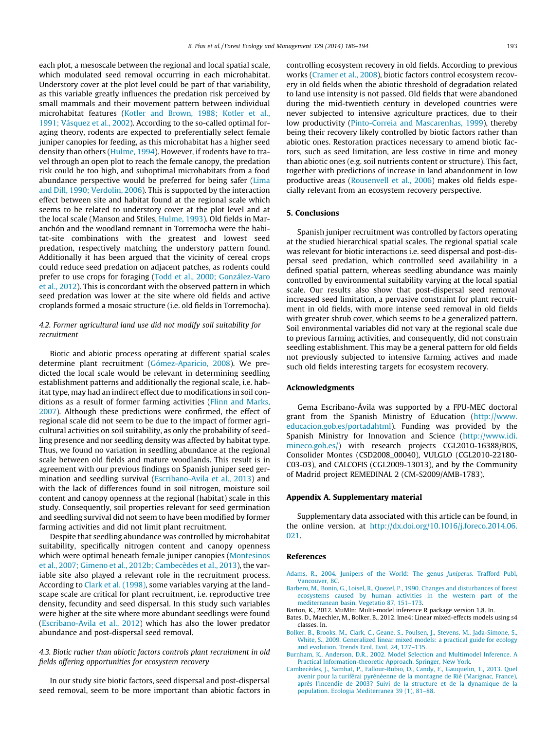<span id="page-7-0"></span>each plot, a mesoscale between the regional and local spatial scale, which modulated seed removal occurring in each microhabitat. Understory cover at the plot level could be part of that variability, as this variable greatly influences the predation risk perceived by small mammals and their movement pattern between individual microhabitat features [\(Kotler and Brown, 1988; Kotler et al.,](#page-8-0) [1991; Vásquez et al., 2002](#page-8-0)). According to the so-called optimal foraging theory, rodents are expected to preferentially select female juniper canopies for feeding, as this microhabitat has a higher seed density than others ([Hulme, 1994](#page-8-0)). However, if rodents have to travel through an open plot to reach the female canopy, the predation risk could be too high, and suboptimal microhabitats from a food abundance perspective would be preferred for being safer [\(Lima](#page-8-0) [and Dill, 1990; Verdolin, 2006](#page-8-0)). This is supported by the interaction effect between site and habitat found at the regional scale which seems to be related to understory cover at the plot level and at the local scale (Manson and Stiles, [Hulme, 1993\)](#page-8-0). Old fields in Maranchón and the woodland remnant in Torremocha were the habitat-site combinations with the greatest and lowest seed predation, respectively matching the understory pattern found. Additionally it has been argued that the vicinity of cereal crops could reduce seed predation on adjacent patches, as rodents could prefer to use crops for foraging [\(Todd et al., 2000; González-Varo](#page-8-0) [et al., 2012\)](#page-8-0). This is concordant with the observed pattern in which seed predation was lower at the site where old fields and active croplands formed a mosaic structure (i.e. old fields in Torremocha).

# 4.2. Former agricultural land use did not modify soil suitability for recruitment

Biotic and abiotic process operating at different spatial scales determine plant recruitment ([Gómez-Aparicio, 2008](#page-8-0)). We predicted the local scale would be relevant in determining seedling establishment patterns and additionally the regional scale, i.e. habitat type, may had an indirect effect due to modifications in soil conditions as a result of former farming activities ([Flinn and Marks,](#page-8-0) [2007](#page-8-0)). Although these predictions were confirmed, the effect of regional scale did not seem to be due to the impact of former agricultural activities on soil suitability, as only the probability of seedling presence and nor seedling density was affected by habitat type. Thus, we found no variation in seedling abundance at the regional scale between old fields and mature woodlands. This result is in agreement with our previous findings on Spanish juniper seed germination and seedling survival [\(Escribano-Avila et al., 2013](#page-8-0)) and with the lack of differences found in soil nitrogen, moisture soil content and canopy openness at the regional (habitat) scale in this study. Consequently, soil properties relevant for seed germination and seedling survival did not seem to have been modified by former farming activities and did not limit plant recruitment.

Despite that seedling abundance was controlled by microhabitat suitability, specifically nitrogen content and canopy openness which were optimal beneath female juniper canopies ([Montesinos](#page-8-0) [et al., 2007; Gimeno et al., 2012b; Cambecèdes et al., 2013\)](#page-8-0), the variable site also played a relevant role in the recruitment process. According to [Clark et al. \(1998\)](#page-8-0), some variables varying at the landscape scale are critical for plant recruitment, i.e. reproductive tree density, fecundity and seed dispersal. In this study such variables were higher at the site where more abundant seedlings were found ([Escribano-Avila et al., 2012\)](#page-8-0) which has also the lower predator abundance and post-dispersal seed removal.

# 4.3. Biotic rather than abiotic factors controls plant recruitment in old fields offering opportunities for ecosystem recovery

In our study site biotic factors, seed dispersal and post-dispersal seed removal, seem to be more important than abiotic factors in controlling ecosystem recovery in old fields. According to previous works ([Cramer et al., 2008](#page-8-0)), biotic factors control ecosystem recovery in old fields when the abiotic threshold of degradation related to land use intensity is not passed. Old fields that were abandoned during the mid-twentieth century in developed countries were never subjected to intensive agriculture practices, due to their low productivity ([Pinto-Correia and Mascarenhas, 1999](#page-8-0)), thereby being their recovery likely controlled by biotic factors rather than abiotic ones. Restoration practices necessary to amend biotic factors, such as seed limitation, are less costive in time and money than abiotic ones (e.g. soil nutrients content or structure). This fact, together with predictions of increase in land abandonment in low productive areas ([Rousenvell et al., 2006](#page-8-0)) makes old fields especially relevant from an ecosystem recovery perspective.

# 5. Conclusions

Spanish juniper recruitment was controlled by factors operating at the studied hierarchical spatial scales. The regional spatial scale was relevant for biotic interactions i.e. seed dispersal and post-dispersal seed predation, which controlled seed availability in a defined spatial pattern, whereas seedling abundance was mainly controlled by environmental suitability varying at the local spatial scale. Our results also show that post-dispersal seed removal increased seed limitation, a pervasive constraint for plant recruitment in old fields, with more intense seed removal in old fields with greater shrub cover, which seems to be a generalized pattern. Soil environmental variables did not vary at the regional scale due to previous farming activities, and consequently, did not constrain seedling establishment. This may be a general pattern for old fields not previously subjected to intensive farming actives and made such old fields interesting targets for ecosystem recovery.

#### Acknowledgments

Gema Escribano-Ávila was supported by a FPU-MEC doctoral grant from the Spanish Ministry of Education [\(http://www.](http://www.educacion.gob.es/portadahtml) [educacion.gob.es/portadahtml](http://www.educacion.gob.es/portadahtml)). Funding was provided by the Spanish Ministry for Innovation and Science [\(http://www.idi.](http://www.idi.mineco.gob.es/) [mineco.gob.es/\)](http://www.idi.mineco.gob.es/) with research projects CGL2010-16388/BOS, Consolider Montes (CSD2008\_00040), VULGLO (CGL2010-22180- C03-03), and CALCOFIS (CGL2009-13013), and by the Community of Madrid project REMEDINAL 2 (CM-S2009/AMB-1783).

#### Appendix A. Supplementary material

Supplementary data associated with this article can be found, in the online version, at [http://dx.doi.org/10.1016/j.foreco.2014.06.](http://dx.doi.org/10.1016/j.foreco.2014.06.021) [021.](http://dx.doi.org/10.1016/j.foreco.2014.06.021)

#### References

- [Adams, R., 2004. Junipers of the World: The genus](http://refhub.elsevier.com/S0378-1127(14)00386-7/h0005) Juniperus. Trafford Publ, [Vancouver, BC](http://refhub.elsevier.com/S0378-1127(14)00386-7/h0005).
- [Barbero, M., Bonin, G., Loisel, R., Quezel, P., 1990. Changes and disturbances of forest](http://refhub.elsevier.com/S0378-1127(14)00386-7/h0010) [ecosystems caused by human activities in the western part of the](http://refhub.elsevier.com/S0378-1127(14)00386-7/h0010) [mediterranean basin. Vegetatio 87, 151–173.](http://refhub.elsevier.com/S0378-1127(14)00386-7/h0010)
- Barton, K., 2012. MuMIn: Multi-model inference R package version 1.8. In.
- Bates, D., Maechler, M., Bolker, B., 2012. lme4: Linear mixed-effects models using s4 classes. In.
- [Bolker, B., Brooks, M., Clark, C., Geane, S., Poulsen, J., Stevens, M., Jada-Simone, S.,](http://refhub.elsevier.com/S0378-1127(14)00386-7/h0025) [White, S., 2009. Generalized linear mixed models: a practical guide for ecology](http://refhub.elsevier.com/S0378-1127(14)00386-7/h0025) [and evolution. Trends Ecol. Evol. 24, 127–135.](http://refhub.elsevier.com/S0378-1127(14)00386-7/h0025)
- [Burnham, K., Anderson, D.R., 2002. Model Selection and Multimodel Inference. A](http://refhub.elsevier.com/S0378-1127(14)00386-7/h0030) [Practical Information-theoretic Approach. Springer, New York](http://refhub.elsevier.com/S0378-1127(14)00386-7/h0030).
- [Cambecèdes, J., Samhat, P., Fallour-Rubio, D., Candy, F., Gauquelin, T., 2013. Quel](http://refhub.elsevier.com/S0378-1127(14)00386-7/h0035) [avenir pour la turiférai pyrénéenne de la montagne de Rié \(Marignac, France\),](http://refhub.elsevier.com/S0378-1127(14)00386-7/h0035) [après l'incendie de 2003? Suivi de la structure et de la dynamique de la](http://refhub.elsevier.com/S0378-1127(14)00386-7/h0035) [population. Ecologia Mediterranea 39 \(1\), 81–88](http://refhub.elsevier.com/S0378-1127(14)00386-7/h0035).